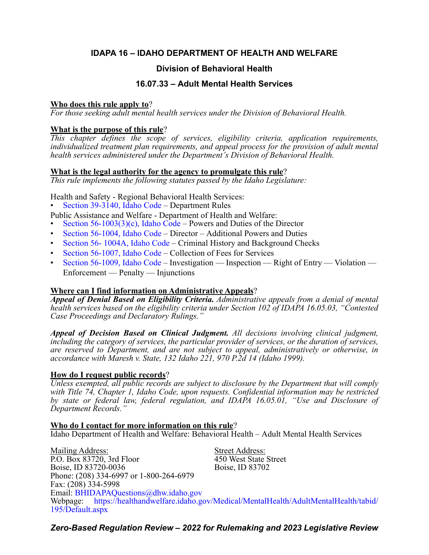# **IDAPA 16 – IDAHO DEPARTMENT OF HEALTH AND WELFARE**

# **Division of Behavioral Health**

## **16.07.33 – Adult Mental Health Services**

## **Who does this rule apply to**?

*For those seeking adult mental health services under the Division of Behavioral Health.*

## **What is the purpose of this rule**?

*This chapter defines the scope of services, eligibility criteria, application requirements, individualized treatment plan requirements, and appeal process for the provision of adult mental health services administered under the Department's Division of Behavioral Health.*

## **What is the legal authority for the agency to promulgate this rule**?

*This rule implements the following statutes passed by the Idaho Legislature:*

Health and Safety - Regional Behavioral Health Services:

• [Section 39-3140, Idaho Code](https://legislature.idaho.gov/statutesrules/idstat/Title39/T39CH31/SECT39-3140/) – Department Rules

Public Assistance and Welfare - Department of Health and Welfare:

- Section  $56-1003(3)(c)$ , Idaho Code Powers and Duties of the Director
- [Section 56-1004, Idaho Code](https://legislature.idaho.gov/statutesrules/idstat/Title56/T56CH10/SECT56-1004/)  Director Additional Powers and Duties
- [Section 56- 1004A, Idaho Code](https://legislature.idaho.gov/statutesrules/idstat/Title56/T56CH10/SECT56-1004A/) Criminal History and Background Checks
- [Section 56-1007, Idaho Code](https://legislature.idaho.gov/statutesrules/idstat/Title56/T56CH10/SECT56-1007/)  Collection of Fees for Services
- [Section 56-1009, Idaho Code](https://legislature.idaho.gov/statutesrules/idstat/Title56/T56CH10/SECT56-1009/) Investigation Inspection Right of Entry Violation Enforcement — Penalty — Injunctions

## **Where can I find information on Administrative Appeals**?

*Appeal of Denial Based on Eligibility Criteria. Administrative appeals from a denial of mental health services based on the eligibility criteria under Section 102 of IDAPA 16.05.03, "Contested Case Proceedings and Declaratory Rulings."*

*Appeal of Decision Based on Clinical Judgment. All decisions involving clinical judgment, including the category of services, the particular provider of services, or the duration of services, are reserved to Department, and are not subject to appeal, administratively or otherwise, in accordance with Maresh v. State, 132 Idaho 221, 970 P.2d 14 (Idaho 1999).*

## **How do I request public records**?

*Unless exempted, all public records are subject to disclosure by the Department that will comply with Title 74, Chapter 1, Idaho Code, upon requests. Confidential information may be restricted by state or federal law, federal regulation, and IDAPA 16.05.01, "Use and Disclosure of Department Records."*

**Who do I contact for more information on this rule**? Idaho Department of Health and Welfare: Behavioral Health – Adult Mental Health Services

Mailing Address: Street Address: P.O. Box 83720, 3rd Floor 450 West State Street Boise, ID 83720-0036 Boise, ID 83702 Phone: (208) 334-6997 or 1-800-264-6979 Fax: (208) 334-5998 Email: [BHIDAPAQuestions@dhw.idaho.gov](mailto:BHIDAPAQuestions@dhw.idaho.gov) Webpage: [https://healthandwelfare.idaho.gov/Medical/MentalHealth/AdultMentalHealth/tabid/](https://healthandwelfare.idaho.gov/Medical/MentalHealth/AdultMentalHealth/tabid/195/Default.aspx) [195/Default.aspx](https://healthandwelfare.idaho.gov/Medical/MentalHealth/AdultMentalHealth/tabid/195/Default.aspx)

*Zero-Based Regulation Review – 2022 for Rulemaking and 2023 Legislative Review*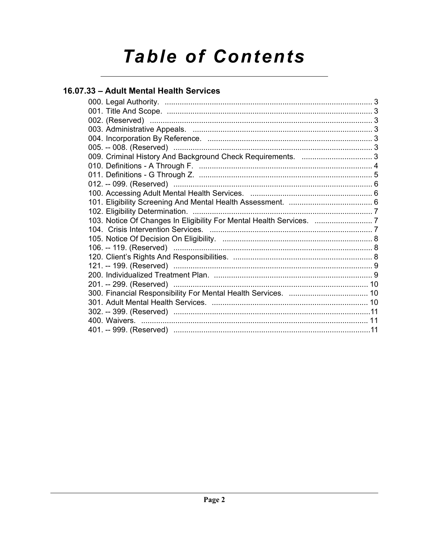# **Table of Contents**

# 16.07.33 - Adult Mental Health Services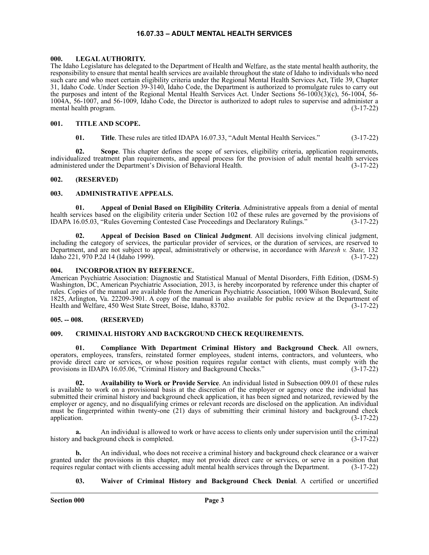#### **16.07.33 – ADULT MENTAL HEALTH SERVICES**

#### <span id="page-2-1"></span><span id="page-2-0"></span>**000. LEGAL AUTHORITY.**

The Idaho Legislature has delegated to the Department of Health and Welfare, as the state mental health authority, the responsibility to ensure that mental health services are available throughout the state of Idaho to individuals who need such care and who meet certain eligibility criteria under the Regional Mental Health Services Act, Title 39, Chapter 31, Idaho Code. Under Section 39-3140, Idaho Code, the Department is authorized to promulgate rules to carry out the purposes and intent of the Regional Mental Health Services Act. Under Sections 56-1003(3)(c), 56-1004, 56- 1004A, 56-1007, and 56-1009, Idaho Code, the Director is authorized to adopt rules to supervise and administer a mental health program. (3-17-22)

#### <span id="page-2-2"></span>**001. TITLE AND SCOPE.**

**01. Title**. These rules are titled IDAPA 16.07.33, "Adult Mental Health Services." (3-17-22)

**02. Scope**. This chapter defines the scope of services, eligibility criteria, application requirements, individualized treatment plan requirements, and appeal process for the provision of adult mental health services administered under the Department's Division of Behavioral Health. (3-17-22)

#### <span id="page-2-3"></span>**002. (RESERVED)**

#### <span id="page-2-4"></span>**003. ADMINISTRATIVE APPEALS.**

**01. Appeal of Denial Based on Eligibility Criteria**. Administrative appeals from a denial of mental health services based on the eligibility criteria under Section 102 of these rules are governed by the provisions of IDAPA 16.05.03, "Rules Governing Contested Case Proceedings and Declaratory Rulings." (3-17-22)

**02. Appeal of Decision Based on Clinical Judgment**. All decisions involving clinical judgment, including the category of services, the particular provider of services, or the duration of services, are reserved to Department, and are not subject to appeal, administratively or otherwise, in accordance with *Maresh v. State,* 132 Idaho 221, 970 P.2d 14 (Idaho 1999). (3-17-22)

#### <span id="page-2-5"></span>**004. INCORPORATION BY REFERENCE.**

American Psychiatric Association: Diagnostic and Statistical Manual of Mental Disorders, Fifth Edition, (DSM-5) Washington, DC, American Psychiatric Association, 2013, is hereby incorporated by reference under this chapter of rules. Copies of the manual are available from the American Psychiatric Association, 1000 Wilson Boulevard, Suite 1825, Arlington, Va. 22209-3901. A copy of the manual is also available for public review at the Department of Health and Welfare, 450 West State Street, Boise, Idaho, 83702. (3-17-22)

#### <span id="page-2-6"></span>**005. -- 008. (RESERVED)**

#### <span id="page-2-7"></span>**009. CRIMINAL HISTORY AND BACKGROUND CHECK REQUIREMENTS.**

**01. Compliance With Department Criminal History and Background Check**. All owners, operators, employees, transfers, reinstated former employees, student interns, contractors, and volunteers, who provide direct care or services, or whose position requires regular contact with clients, must comply with the provisions in IDAPA 16.05.06, "Criminal History and Background Checks." (3-17-22) provisions in IDAPA 16.05.06, "Criminal History and Background Checks."

**02. Availability to Work or Provide Service**. An individual listed in Subsection 009.01 of these rules is available to work on a provisional basis at the discretion of the employer or agency once the individual has submitted their criminal history and background check application, it has been signed and notarized, reviewed by the employer or agency, and no disqualifying crimes or relevant records are disclosed on the application. An individual must be fingerprinted within twenty-one (21) days of submitting their criminal history and background check application. (3-17-22)

**a.** An individual is allowed to work or have access to clients only under supervision until the criminal history and background check is completed. (3-17-22)

**b.** An individual, who does not receive a criminal history and background check clearance or a waiver granted under the provisions in this chapter, may not provide direct care or services, or serve in a position that requires regular contact with clients accessing adult mental health services through the Department. (3-17-22)

#### **03. Waiver of Criminal History and Background Check Denial**. A certified or uncertified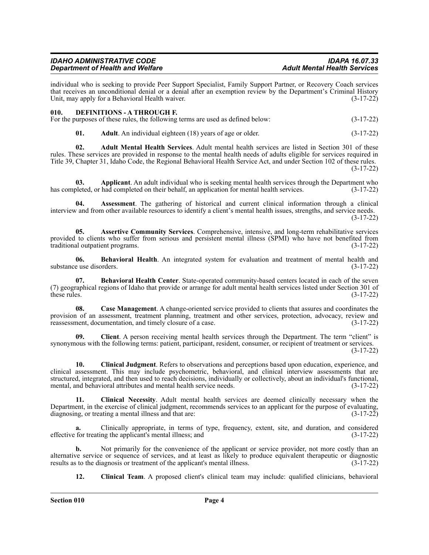| <b>IDAHO ADMINISTRATIVE CODE</b>        |  |
|-----------------------------------------|--|
| <b>Department of Health and Welfare</b> |  |

individual who is seeking to provide Peer Support Specialist, Family Support Partner, or Recovery Coach services that receives an unconditional denial or a denial after an exemption review by the Department's Criminal History Unit, may apply for a Behavioral Health waiver. (3-17-22)

<span id="page-3-0"></span>

| 010 | <b>DEFINITIONS - A THROUGH F.</b>                                               |             |
|-----|---------------------------------------------------------------------------------|-------------|
|     | For the purposes of these rules, the following terms are used as defined below: | $(3-17-22)$ |

**01. Adult**. An individual eighteen (18) years of age or older. (3-17-22)

**02. Adult Mental Health Services**. Adult mental health services are listed in Section 301 of these rules. These services are provided in response to the mental health needs of adults eligible for services required in Title 39, Chapter 31, Idaho Code, the Regional Behavioral Health Service Act, and under Section 102 of these rules. (3-17-22)

**03. Applicant**. An adult individual who is seeking mental health services through the Department who bleted, or had completed on their behalf, an application for mental health services. (3-17-22) has completed, or had completed on their behalf, an application for mental health services.

**04. Assessment**. The gathering of historical and current clinical information through a clinical interview and from other available resources to identify a client's mental health issues, strengths, and service needs. (3-17-22)

**05. Assertive Community Services**. Comprehensive, intensive, and long-term rehabilitative services provided to clients who suffer from serious and persistent mental illness (SPMI) who have not benefited from traditional outpatient programs. (3-17-22)

**06. Behavioral Health**. An integrated system for evaluation and treatment of mental health and substance use disorders. (3-17-22)

**07. Behavioral Health Center**. State-operated community-based centers located in each of the seven (7) geographical regions of Idaho that provide or arrange for adult mental health services listed under Section 301 of these rules.  $(3-17-22)$ 

**08. Case Management**. A change-oriented service provided to clients that assures and coordinates the provision of an assessment, treatment planning, treatment and other services, protection, advocacy, review and reassessment, documentation, and timely closure of a case. (3-17-22) reassessment, documentation, and timely closure of a case.

**09. Client**. A person receiving mental health services through the Department. The term "client" is synonymous with the following terms: patient, participant, resident, consumer, or recipient of treatment or services. (3-17-22)

**10. Clinical Judgment**. Refers to observations and perceptions based upon education, experience, and clinical assessment. This may include psychometric, behavioral, and clinical interview assessments that are structured, integrated, and then used to reach decisions, individually or collectively, about an individual's functional, mental, and behavioral attributes and mental health service needs.  $(3-17-22)$ mental, and behavioral attributes and mental health service needs.

**11. Clinical Necessity**. Adult mental health services are deemed clinically necessary when the Department, in the exercise of clinical judgment, recommends services to an applicant for the purpose of evaluating, diagnosing, or treating a mental illness and that are: (3-17-22)

**a.** Clinically appropriate, in terms of type, frequency, extent, site, and duration, and considered effective for treating the applicant's mental illness; and (3-17-22)

**b.** Not primarily for the convenience of the applicant or service provider, not more costly than an alternative service or sequence of services, and at least as likely to produce equivalent therapeutic or diagnostic results as to the diagnosis or treatment of the applicant's mental illness. (3-17-22) results as to the diagnosis or treatment of the applicant's mental illness.

**12. Clinical Team**. A proposed client's clinical team may include: qualified clinicians, behavioral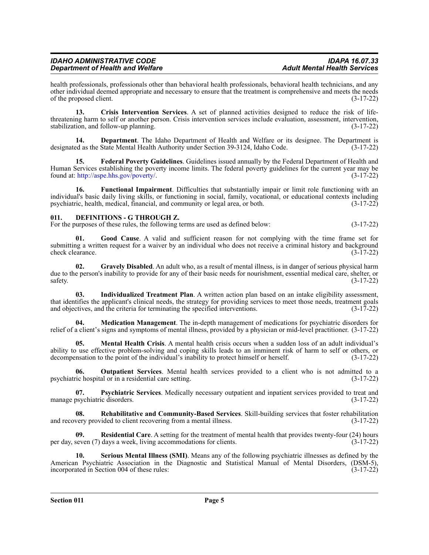#### *IDAHO ADMINISTRATIVE CODE IDAPA 16.07.33 Department of Health and Welfare*

health professionals, professionals other than behavioral health professionals, behavioral health technicians, and any other individual deemed appropriate and necessary to ensure that the treatment is comprehensive and meets the needs of the proposed client. (3-17-22)

**13. Crisis Intervention Services**. A set of planned activities designed to reduce the risk of lifethreatening harm to self or another person. Crisis intervention services include evaluation, assessment, intervention, stabilization, and follow-up planning. (3-17-22) stabilization, and follow-up planning.

**14. Department**. The Idaho Department of Health and Welfare or its designee. The Department is designated as the State Mental Health Authority under Section 39-3124, Idaho Code. (3-17-22)

**15. Federal Poverty Guidelines**. Guidelines issued annually by the Federal Department of Health and Human Services establishing the poverty income limits. The federal poverty guidelines for the current year may be found at: [http://aspe.hhs.gov/poverty/.](http://aspe.hhs.gov/poverty/) (3-17-22)

**16. Functional Impairment**. Difficulties that substantially impair or limit role functioning with an individual's basic daily living skills, or functioning in social, family, vocational, or educational contexts including psychiatric, health, medical, financial, and community or legal area, or both. (3-17-22)

#### <span id="page-4-0"></span>**011. DEFINITIONS - G THROUGH Z.**

For the purposes of these rules, the following terms are used as defined below:  $(3-17-22)$ 

Good Cause. A valid and sufficient reason for not complying with the time frame set for submitting a written request for a waiver by an individual who does not receive a criminal history and background check clearance. (3-17-22)

**02.** Gravely Disabled. An adult who, as a result of mental illness, is in danger of serious physical harm due to the person's inability to provide for any of their basic needs for nourishment, essential medical care, shelter, or  $s$ safety.  $(3-17-22)$ 

**03. Individualized Treatment Plan**. A written action plan based on an intake eligibility assessment, that identifies the applicant's clinical needs, the strategy for providing services to meet those needs, treatment goals and objectives, and the criteria for terminating the specified interventions. (3-17-22)

**04. Medication Management**. The in-depth management of medications for psychiatric disorders for relief of a client's signs and symptoms of mental illness, provided by a physician or mid-level practitioner. (3-17-22)

**05. Mental Health Crisis**. A mental health crisis occurs when a sudden loss of an adult individual's ability to use effective problem-solving and coping skills leads to an imminent risk of harm to self or others, or decompensation to the point of the individual's inability to protect himself or herself. (3-17-22) decompensation to the point of the individual's inability to protect himself or herself.

**06. Outpatient Services**. Mental health services provided to a client who is not admitted to a psychiatric hospital or in a residential care setting. (3-17-22)

**07. Psychiatric Services**. Medically necessary outpatient and inpatient services provided to treat and manage psychiatric disorders.

**08. Rehabilitative and Community-Based Services**. Skill-building services that foster rehabilitation and recovery provided to client recovering from a mental illness. (3-17-22)

**09. Residential Care**. A setting for the treatment of mental health that provides twenty-four (24) hours per day, seven (7) days a week, living accommodations for clients. (3-17-22)

**10. Serious Mental Illness (SMI)**. Means any of the following psychiatric illnesses as defined by the American Psychiatric Association in the Diagnostic and Statistical Manual of Mental Disorders, (DSM-5), incorporated in Section 004 of these rules: (3-17-22)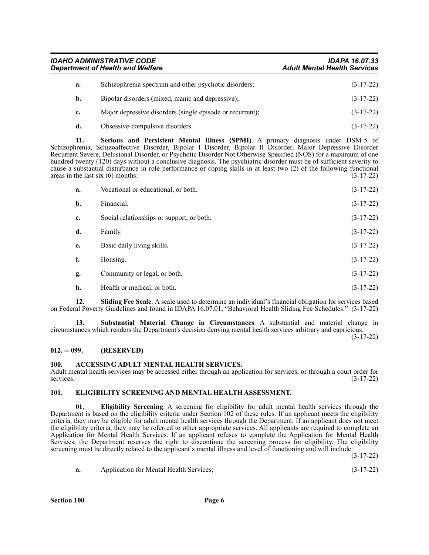*IDAHO ADMINISTRATIVE CODE IDAPA 16.07.33 Department of Health and Welfare* **a.** Schizophrenia spectrum and other psychotic disorders; (3-17-22)

|             | Bipolar disorders (mixed, manic and depressive);          | $(3-17-22)$ |
|-------------|-----------------------------------------------------------|-------------|
| $c_{\star}$ | Major depressive disorders (single episode or recurrent); | $(3-17-22)$ |

**d.** Obsessive-compulsive disorders. (3-17-22)

**11. Serious and Persistent Mental Illness (SPMI)**. A primary diagnosis under DSM-5 of Schizophrenia, Schizoaffective Disorder, Bipolar I Disorder, Bipolar II Disorder, Major Depressive Disorder Recurrent Severe, Delusional Disorder, or Psychotic Disorder Not Otherwise Specified (NOS) for a maximum of one hundred twenty (120) days without a conclusive diagnosis. The psychiatric disorder must be of sufficient severity to cause a substantial disturbance in role performance or coping skills in at least two (2) of the following functional areas in the last six (6) months: (3-17-22) areas in the last six  $(6)$  months:

| a. | Vocational or educational, or both.       | $(3-17-22)$ |
|----|-------------------------------------------|-------------|
| b. | Financial.                                | $(3-17-22)$ |
| c. | Social relationships or support, or both. | $(3-17-22)$ |
| d. | Family.                                   | $(3-17-22)$ |
| e. | Basic daily living skills.                | $(3-17-22)$ |
| f. | Housing.                                  | $(3-17-22)$ |
| g. | Community or legal, or both.              | $(3-17-22)$ |
| h. | Health or medical, or both.               | $(3-17-22)$ |

**12. Sliding Fee Scale**. A scale used to determine an individual's financial obligation for services based on Federal Poverty Guidelines and found in IDAPA 16.07.01, "Behavioral Health Sliding Fee Schedules." (3-17-22)

**13. Substantial Material Change in Circumstances**. A substantial and material change in circumstances which renders the Department's decision denying mental health services arbitrary and capricious.

(3-17-22)

#### <span id="page-5-0"></span>**012. -- 099. (RESERVED)**

#### <span id="page-5-1"></span>**100. ACCESSING ADULT MENTAL HEALTH SERVICES.**

Adult mental health services may be accessed either through an application for services, or through a court order for services.  $(3-17-22)$ 

### <span id="page-5-2"></span>**101. ELIGIBILITY SCREENING AND MENTAL HEALTH ASSESSMENT.**

**01. Eligibility Screening**. A screening for eligibility for adult mental health services through the Department is based on the eligibility criteria under Section 102 of these rules. If an applicant meets the eligibility criteria, they may be eligible for adult mental health services through the Department. If an applicant does not meet the eligibility criteria, they may be referred to other appropriate services. All applicants are required to complete an Application for Mental Health Services. If an applicant refuses to complete the Application for Mental Health Services, the Department reserves the right to discontinue the screening process for eligibility. The eligibility screening must be directly related to the applicant's mental illness and level of functioning and will include:

(3-17-22)

| a. | Application for Mental Health Services; | $(3-17-22)$ |
|----|-----------------------------------------|-------------|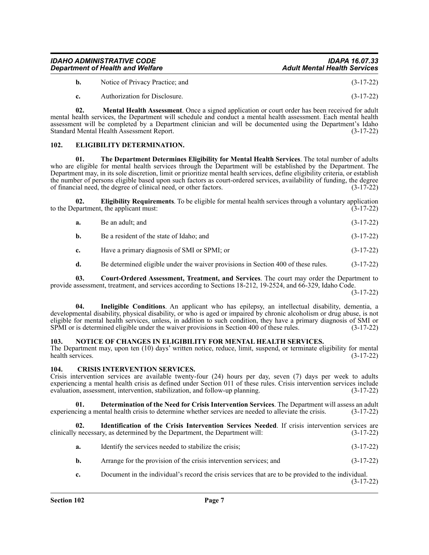| IDAHO ADMINISTRATIVE CODE               | <b>IDAPA 16.07.33</b>               |
|-----------------------------------------|-------------------------------------|
| <b>Department of Health and Welfare</b> | <b>Adult Mental Health Services</b> |
|                                         |                                     |

**b.** Notice of Privacy Practice; and (3-17-22)

**c.** Authorization for Disclosure. (3-17-22)

**02. Mental Health Assessment**. Once a signed application or court order has been received for adult mental health services, the Department will schedule and conduct a mental health assessment. Each mental health assessment will be completed by a Department clinician and will be documented using the Department's Idaho Standard Mental Health Assessment Report. (3-17-22)

#### <span id="page-6-0"></span>**102. ELIGIBILITY DETERMINATION.**

**01. The Department Determines Eligibility for Mental Health Services**. The total number of adults who are eligible for mental health services through the Department will be established by the Department. The Department may, in its sole discretion, limit or prioritize mental health services, define eligibility criteria, or establish the number of persons eligible based upon such factors as court-ordered services, availability of funding, the degree of financial need, the degree of clinical need, or other factors. (3-17-22)

**02. Eligibility Requirements**. To be eligible for mental health services through a voluntary application to the Department, the applicant must:  $(3-17-22)$ 

- **a.** Be an adult; and (3-17-22)
- **b.** Be a resident of the state of Idaho; and (3-17-22)
- **c.** Have a primary diagnosis of SMI or SPMI; or (3-17-22)
- **d.** Be determined eligible under the waiver provisions in Section 400 of these rules. (3-17-22)

**03. Court-Ordered Assessment, Treatment, and Services**. The court may order the Department to provide assessment, treatment, and services according to Sections 18-212, 19-2524, and 66-329, Idaho Code.

(3-17-22)

**04. Ineligible Conditions**. An applicant who has epilepsy, an intellectual disability, dementia, a developmental disability, physical disability, or who is aged or impaired by chronic alcoholism or drug abuse, is not eligible for mental health services, unless, in addition to such condition, they have a primary diagnosis of SMI or SPMI or is determined eligible under the waiver provisions in Section 400 of these rules. (3-17-22)

#### <span id="page-6-1"></span>**103. NOTICE OF CHANGES IN ELIGIBILITY FOR MENTAL HEALTH SERVICES.**

The Department may, upon ten (10) days' written notice, reduce, limit, suspend, or terminate eligibility for mental health services. (3-17-22)

#### <span id="page-6-2"></span>**104. CRISIS INTERVENTION SERVICES.**

Crisis intervention services are available twenty-four (24) hours per day, seven (7) days per week to adults experiencing a mental health crisis as defined under Section 011 of these rules. Crisis intervention services include evaluation, assessment, intervention, stabilization, and follow-up planning. (3-17-22)

**01. Determination of the Need for Crisis Intervention Services**. The Department will assess an adult crisis to determine whether services are needed to alleviate the crisis. (3-17-22) experiencing a mental health crisis to determine whether services are needed to alleviate the crisis.

**02. Identification of the Crisis Intervention Services Needed**. If crisis intervention services are clinically necessary, as determined by the Department, the Department will: (3-17-22)

- **a.** Identify the services needed to stabilize the crisis; (3-17-22)
- **b.** Arrange for the provision of the crisis intervention services; and  $(3-17-22)$
- **c.** Document in the individual's record the crisis services that are to be provided to the individual. (3-17-22)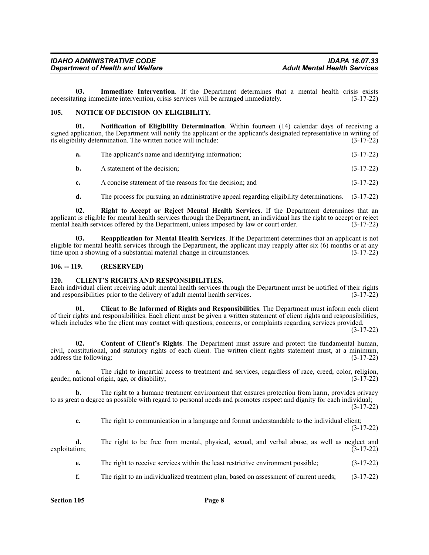**03. Immediate Intervention**. If the Department determines that a mental health crisis exists necessitating immediate intervention, crisis services will be arranged immediately. (3-17-22)

#### <span id="page-7-0"></span>**105. NOTICE OF DECISION ON ELIGIBILITY.**

**01. Notification of Eligibility Determination**. Within fourteen (14) calendar days of receiving a signed application, the Department will notify the applicant or the applicant's designated representative in writing of its eligibility determination. The written notice will include: (3-17-22)

| a. |  | The applicant's name and identifying information; | $(3-17-22)$ |
|----|--|---------------------------------------------------|-------------|
|----|--|---------------------------------------------------|-------------|

- **b.** A statement of the decision; (3-17-22)
- **c.** A concise statement of the reasons for the decision; and  $(3-17-22)$
- **d.** The process for pursuing an administrative appeal regarding eligibility determinations. (3-17-22)

**02. Right to Accept or Reject Mental Health Services**. If the Department determines that an applicant is eligible for mental health services through the Department, an individual has the right to accept or reject mental health services offered by the Department, unless imposed by law or court order. (3-17-22)

**03. Reapplication for Mental Health Services**. If the Department determines that an applicant is not eligible for mental health services through the Department, the applicant may reapply after six (6) months or at any time upon a showing of a substantial material change in circumstances. (3-17-22)

#### <span id="page-7-1"></span>**106. -- 119. (RESERVED)**

#### <span id="page-7-2"></span>**120. CLIENT'S RIGHTS AND RESPONSIBILITIES.**

Each individual client receiving adult mental health services through the Department must be notified of their rights and responsibilities prior to the delivery of adult mental health services. (3-17-22) and responsibilities prior to the delivery of adult mental health services.

**01. Client to Be Informed of Rights and Responsibilities**. The Department must inform each client of their rights and responsibilities. Each client must be given a written statement of client rights and responsibilities, which includes who the client may contact with questions, concerns, or complaints regarding services provided.

(3-17-22)

**02. Content of Client's Rights**. The Department must assure and protect the fundamental human, civil, constitutional, and statutory rights of each client. The written client rights statement must, at a minimum, address the following: (3-17-22) address the following:

**a.** The right to impartial access to treatment and services, regardless of race, creed, color, religion, gender, national origin, age, or disability; (3-17-22)

**b.** The right to a humane treatment environment that ensures protection from harm, provides privacy to as great a degree as possible with regard to personal needs and promotes respect and dignity for each individual;

(3-17-22)

**c.** The right to communication in a language and format understandable to the individual client; (3-17-22)

|               |  |  |  | The right to be free from mental, physical, sexual, and verbal abuse, as well as neglect and |  |  |  |             |  |
|---------------|--|--|--|----------------------------------------------------------------------------------------------|--|--|--|-------------|--|
| exploitation; |  |  |  |                                                                                              |  |  |  | $(3-17-22)$ |  |

**e.** The right to receive services within the least restrictive environment possible; (3-17-22)

**f.** The right to an individualized treatment plan, based on assessment of current needs; (3-17-22)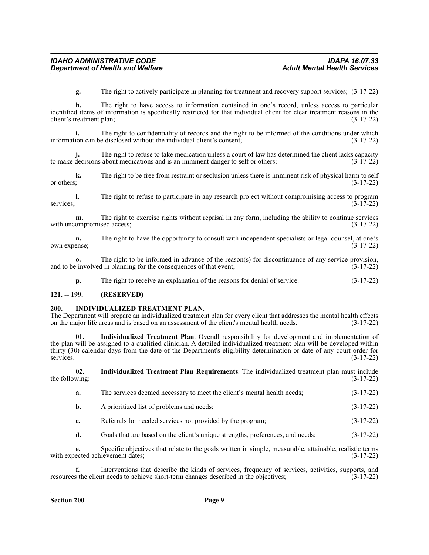**g.** The right to actively participate in planning for treatment and recovery support services; (3-17-22)

**h.** The right to have access to information contained in one's record, unless access to particular identified items of information is specifically restricted for that individual client for clear treatment reasons in the client's treatment plan; (3-17-22)

**i.** The right to confidentiality of records and the right to be informed of the conditions under which information can be disclosed without the individual client's consent; (3-17-22)

The right to refuse to take medication unless a court of law has determined the client lacks capacity about medications and is an imminent danger to self or others; (3-17-22) to make decisions about medications and is an imminent danger to self or others;

**k.** The right to be free from restraint or seclusion unless there is imminent risk of physical harm to self or others;  $(3-17-22)$ 

**l.** The right to refuse to participate in any research project without compromising access to program (3-17-22) services;  $(3-17-22)$ 

**m.** The right to exercise rights without reprisal in any form, including the ability to continue services with uncompromised access;  $(3-17-22)$ 

**n.** The right to have the opportunity to consult with independent specialists or legal counsel, at one's own expense; (3-17-22)

**o.** The right to be informed in advance of the reason(s) for discontinuance of any service provision, and to be involved in planning for the consequences of that event; (3-17-22)

**p.** The right to receive an explanation of the reasons for denial of service.  $(3-17-22)$ 

#### <span id="page-8-0"></span>**121. -- 199. (RESERVED)**

#### <span id="page-8-1"></span>**200. INDIVIDUALIZED TREATMENT PLAN.**

The Department will prepare an individualized treatment plan for every client that addresses the mental health effects on the major life areas and is based on an assessment of the client's mental health needs. (3-17-22) on the major life areas and is based on an assessment of the client's mental health needs.

**01. Individualized Treatment Plan**. Overall responsibility for development and implementation of the plan will be assigned to a qualified clinician. A detailed individualized treatment plan will be developed within thirty (30) calendar days from the date of the Department's eligibility determination or date of any court order for services. (3-17-22)

| the following: | Individualized Treatment Plan Requirements. The individualized treatment plan must include | $(3-17-22)$ |
|----------------|--------------------------------------------------------------------------------------------|-------------|
|                | The complete dense discussions to meet the effect? contrated health weeder                 | (2.17.22)   |

- **a.** The services deemed necessary to meet the client's mental health needs;  $(3-17-22)$
- **b.** A prioritized list of problems and needs; (3-17-22)
- **c.** Referrals for needed services not provided by the program;  $(3-17-22)$
- **d.** Goals that are based on the client's unique strengths, preferences, and needs; (3-17-22)

**e.** Specific objectives that relate to the goals written in simple, measurable, attainable, realistic terms with expected achievement dates;  $(3-17-22)$ 

**f.** Interventions that describe the kinds of services, frequency of services, activities, supports, and resources the client needs to achieve short-term changes described in the objectives; (3-17-22)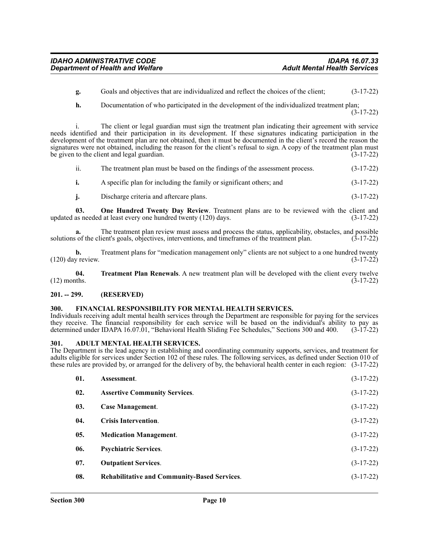- **g.** Goals and objectives that are individualized and reflect the choices of the client; (3-17-22)
- **h.** Documentation of who participated in the development of the individualized treatment plan;

(3-17-22)

i. The client or legal guardian must sign the treatment plan indicating their agreement with service needs identified and their participation in its development. If these signatures indicating participation in the development of the treatment plan are not obtained, then it must be documented in the client's record the reason the signatures were not obtained, including the reason for the client's refusal to sign. A copy of the treatment plan must be given to the client and legal guardian.  $(3-17-22)$ 

| ii. | The treatment plan must be based on the findings of the assessment process. | $(3-17-22)$ |
|-----|-----------------------------------------------------------------------------|-------------|
|     | A specific plan for including the family or significant others; and         | $(3-17-22)$ |

**j.** Discharge criteria and aftercare plans. (3-17-22)

**03.** One Hundred Twenty Day Review. Treatment plans are to be reviewed with the client and as needed at least every one hundred twenty (120) days. (3-17-22) updated as needed at least every one hundred twenty  $(120)$  days.

**a.** The treatment plan review must assess and process the status, applicability, obstacles, and possible solutions of the client's goals, objectives, interventions, and timeframes of the treatment plan. (3-17-22)

**b.** Treatment plans for "medication management only" clients are not subject to a one hundred twenty v review.  $(3-17-22)$  $(120)$  day review.

**04. Treatment Plan Renewals**. A new treatment plan will be developed with the client every twelve  $(12)$  months.  $(3-17-22)$ 

#### <span id="page-9-0"></span>**201. -- 299. (RESERVED)**

#### <span id="page-9-1"></span>**300. FINANCIAL RESPONSIBILITY FOR MENTAL HEALTH SERVICES.**

Individuals receiving adult mental health services through the Department are responsible for paying for the services they receive. The financial responsibility for each service will be based on the individual's ability to pay as determined under IDAPA 16.07.01, "Behavioral Health Sliding Fee Schedules," Sections 300 and 400. (3-17-22)

#### <span id="page-9-2"></span>**301. ADULT MENTAL HEALTH SERVICES.**

The Department is the lead agency in establishing and coordinating community supports, services, and treatment for adults eligible for services under Section 102 of these rules. The following services, as defined under Section 010 of these rules are provided by, or arranged for the delivery of by, the behavioral health center in each region: (3-17-22)

| 01. | Assessment.                                         | $(3-17-22)$ |
|-----|-----------------------------------------------------|-------------|
| 02. | <b>Assertive Community Services.</b>                | $(3-17-22)$ |
| 03. | <b>Case Management.</b>                             | $(3-17-22)$ |
| 04. | <b>Crisis Intervention.</b>                         | $(3-17-22)$ |
| 05. | <b>Medication Management.</b>                       | $(3-17-22)$ |
| 06. | <b>Psychiatric Services.</b>                        | $(3-17-22)$ |
| 07. | <b>Outpatient Services.</b>                         | $(3-17-22)$ |
| 08. | <b>Rehabilitative and Community-Based Services.</b> | $(3-17-22)$ |
|     |                                                     |             |